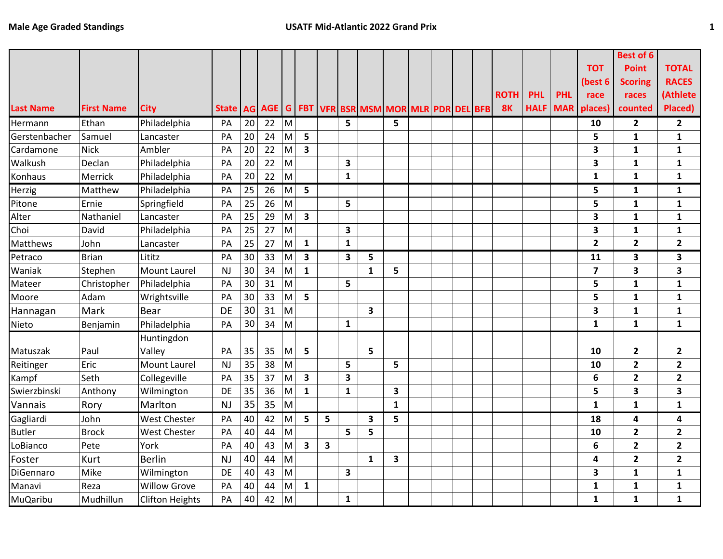|                  |                   |                        |                                                                            |    |    |                                                                                                            |                         |                         |              |              |              |  |  |             |             |            |                         | <b>Best of 6</b> |                         |
|------------------|-------------------|------------------------|----------------------------------------------------------------------------|----|----|------------------------------------------------------------------------------------------------------------|-------------------------|-------------------------|--------------|--------------|--------------|--|--|-------------|-------------|------------|-------------------------|------------------|-------------------------|
|                  |                   |                        |                                                                            |    |    |                                                                                                            |                         |                         |              |              |              |  |  |             |             |            | <b>TOT</b>              | <b>Point</b>     | <b>TOTAL</b>            |
|                  |                   |                        |                                                                            |    |    |                                                                                                            |                         |                         |              |              |              |  |  |             |             |            | (best 6                 | <b>Scoring</b>   | <b>RACES</b>            |
|                  |                   |                        |                                                                            |    |    |                                                                                                            |                         |                         |              |              |              |  |  | <b>ROTH</b> | <b>PHL</b>  | <b>PHL</b> | race                    | races            | (Athlete                |
| <b>Last Name</b> | <b>First Name</b> | <b>City</b>            | State   AG   AGE   G   FBT   VFR   BSR   MSM   MOR   MLR   PDR   DEL   BFB |    |    |                                                                                                            |                         |                         |              |              |              |  |  | <b>8K</b>   | <b>HALF</b> | <b>MAR</b> | places)                 | counted          | Placed)                 |
| Hermann          | Ethan             | Philadelphia           | PA                                                                         | 20 | 22 | M                                                                                                          |                         |                         | 5            |              | 5            |  |  |             |             |            | 10                      | $\overline{2}$   | $\overline{2}$          |
| Gerstenbacher    | Samuel            | Lancaster              | PA                                                                         | 20 | 24 | M                                                                                                          | 5                       |                         |              |              |              |  |  |             |             |            | 5                       | $\mathbf{1}$     | $\mathbf{1}$            |
| Cardamone        | <b>Nick</b>       | Ambler                 | PA                                                                         | 20 | 22 | M                                                                                                          | $\overline{\mathbf{3}}$ |                         |              |              |              |  |  |             |             |            | 3                       | 1                | $\mathbf{1}$            |
| Walkush          | Declan            | Philadelphia           | PA                                                                         | 20 | 22 | M                                                                                                          |                         |                         | 3            |              |              |  |  |             |             |            | 3                       | 1                | $\mathbf{1}$            |
| Konhaus          | Merrick           | Philadelphia           | PA                                                                         | 20 | 22 | M                                                                                                          |                         |                         | $\mathbf{1}$ |              |              |  |  |             |             |            | $\mathbf{1}$            | $\mathbf 1$      | $\mathbf{1}$            |
| Herzig           | Matthew           | Philadelphia           | PA                                                                         | 25 | 26 | $\mathsf{M}% _{T}=\mathsf{M}_{T}\!\left( a,b\right) ,\ \mathsf{M}_{T}=\mathsf{M}_{T}\!\left( a,b\right) ,$ | 5                       |                         |              |              |              |  |  |             |             |            | 5                       | $\mathbf{1}$     | $\mathbf{1}$            |
| Pitone           | Ernie             | Springfield            | PA                                                                         | 25 | 26 | M                                                                                                          |                         |                         | 5            |              |              |  |  |             |             |            | 5                       | 1                | $\mathbf{1}$            |
| Alter            | Nathaniel         | Lancaster              | PA                                                                         | 25 | 29 | M                                                                                                          | $\overline{\mathbf{3}}$ |                         |              |              |              |  |  |             |             |            | 3                       | 1                | $\mathbf{1}$            |
| Choi             | David             | Philadelphia           | PA                                                                         | 25 | 27 | M                                                                                                          |                         |                         | 3            |              |              |  |  |             |             |            | 3                       | $\mathbf{1}$     | 1                       |
| Matthews         | John              | Lancaster              | PA                                                                         | 25 | 27 | M                                                                                                          | $\mathbf{1}$            |                         | $\mathbf{1}$ |              |              |  |  |             |             |            | $\overline{2}$          | $\overline{2}$   | $\overline{2}$          |
| Petraco          | <b>Brian</b>      | Lititz                 | PA                                                                         | 30 | 33 | M                                                                                                          | $\overline{\mathbf{3}}$ |                         | 3            | 5            |              |  |  |             |             |            | 11                      | 3                | 3                       |
| Waniak           | Stephen           | <b>Mount Laurel</b>    | <b>NJ</b>                                                                  | 30 | 34 | M                                                                                                          | $\mathbf{1}$            |                         |              | $\mathbf{1}$ | 5            |  |  |             |             |            | $\overline{\mathbf{z}}$ | 3                | 3                       |
| Mateer           | Christopher       | Philadelphia           | PA                                                                         | 30 | 31 | M                                                                                                          |                         |                         | 5            |              |              |  |  |             |             |            | 5                       | 1                | $\mathbf{1}$            |
| Moore            | Adam              | Wrightsville           | PA                                                                         | 30 | 33 | M                                                                                                          | 5                       |                         |              |              |              |  |  |             |             |            | 5                       | 1                | $\mathbf{1}$            |
| Hannagan         | Mark              | Bear                   | DE                                                                         | 30 | 31 | M                                                                                                          |                         |                         |              | $\mathbf{3}$ |              |  |  |             |             |            | 3                       | $\mathbf{1}$     | $\mathbf{1}$            |
| Nieto            | Benjamin          | Philadelphia           | PA                                                                         | 30 | 34 | M                                                                                                          |                         |                         | $\mathbf{1}$ |              |              |  |  |             |             |            | $\mathbf{1}$            | $\mathbf{1}$     | $\mathbf{1}$            |
|                  |                   | Huntingdon             |                                                                            |    |    |                                                                                                            |                         |                         |              |              |              |  |  |             |             |            |                         |                  |                         |
| Matuszak         | Paul              | Valley                 | PA                                                                         | 35 | 35 | M                                                                                                          | 5                       |                         |              | 5            |              |  |  |             |             |            | 10                      | $\mathbf{2}$     | $\overline{\mathbf{2}}$ |
| Reitinger        | Eric              | Mount Laurel           | <b>NJ</b>                                                                  | 35 | 38 | M                                                                                                          |                         |                         | 5            |              | 5            |  |  |             |             |            | 10                      | $\mathbf{2}$     | $\overline{2}$          |
| Kampf            | Seth              | Collegeville           | PA                                                                         | 35 | 37 | M                                                                                                          | $\overline{\mathbf{3}}$ |                         | 3            |              |              |  |  |             |             |            | $\boldsymbol{6}$        | $\overline{2}$   | $\overline{2}$          |
| Swierzbinski     | Anthony           | Wilmington             | DE                                                                         | 35 | 36 | M                                                                                                          | $\mathbf{1}$            |                         | $\mathbf{1}$ |              | 3            |  |  |             |             |            | 5                       | 3                | 3                       |
| Vannais          | Rory              | Marlton                | <b>NJ</b>                                                                  | 35 | 35 | M                                                                                                          |                         |                         |              |              | $\mathbf{1}$ |  |  |             |             |            | $\mathbf{1}$            | $\mathbf{1}$     | $\mathbf{1}$            |
| Gagliardi        | John              | <b>West Chester</b>    | PA                                                                         | 40 | 42 | M                                                                                                          | 5                       | 5                       |              | 3            | 5            |  |  |             |             |            | 18                      | 4                | 4                       |
| <b>Butler</b>    | <b>Brock</b>      | <b>West Chester</b>    | PA                                                                         | 40 | 44 | M                                                                                                          |                         |                         | 5            | 5            |              |  |  |             |             |            | 10                      | $\mathbf{2}$     | $\overline{2}$          |
| LoBianco         | Pete              | York                   | PA                                                                         | 40 | 43 | M                                                                                                          | $\overline{\mathbf{3}}$ | $\overline{\mathbf{3}}$ |              |              |              |  |  |             |             |            | 6                       | $\overline{2}$   | $\overline{2}$          |
| Foster           | Kurt              | <b>Berlin</b>          | <b>NJ</b>                                                                  | 40 | 44 | M                                                                                                          |                         |                         |              | 1            | 3            |  |  |             |             |            | 4                       | $\overline{2}$   | $\overline{2}$          |
| DiGennaro        | Mike              | Wilmington             | DE                                                                         | 40 | 43 | M                                                                                                          |                         |                         | 3            |              |              |  |  |             |             |            | 3                       | $\mathbf{1}$     | $\mathbf{1}$            |
| Manavi           | Reza              | <b>Willow Grove</b>    | PA                                                                         | 40 | 44 | M                                                                                                          | 1                       |                         |              |              |              |  |  |             |             |            | ${\bf 1}$               | 1                | $\mathbf{1}$            |
| <b>MuQaribu</b>  | Mudhillun         | <b>Clifton Heights</b> | PA                                                                         | 40 | 42 | M                                                                                                          |                         |                         | $\mathbf{1}$ |              |              |  |  |             |             |            | $\mathbf{1}$            | $\mathbf{1}$     | $\mathbf{1}$            |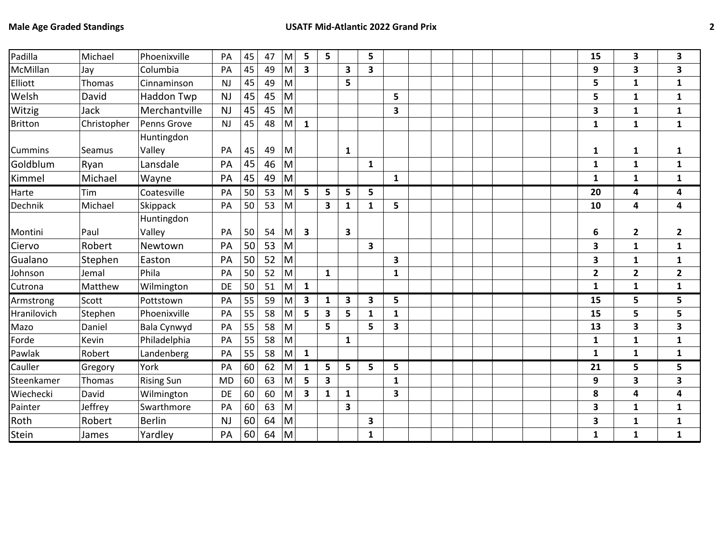| Padilla        | Michael       | Phoenixville       | PA        | 45 | 47 | M                                                                                                          | 5                       | 5                       |                         | 5                       |                         |  |  |  | 15           | 3                       | 3                       |
|----------------|---------------|--------------------|-----------|----|----|------------------------------------------------------------------------------------------------------------|-------------------------|-------------------------|-------------------------|-------------------------|-------------------------|--|--|--|--------------|-------------------------|-------------------------|
| McMillan       | Jay           | Columbia           | PA        | 45 | 49 | $\mathsf{M}% _{T}=\mathsf{M}_{T}\!\left( a,b\right) ,\ \mathsf{M}_{T}=\mathsf{M}_{T}\!\left( a,b\right) ,$ | $\overline{\mathbf{3}}$ |                         | $\overline{\mathbf{3}}$ | 3                       |                         |  |  |  | 9            | 3                       | 3                       |
| Elliott        | Thomas        | Cinnaminson        | <b>NJ</b> | 45 | 49 | M                                                                                                          |                         |                         | 5                       |                         |                         |  |  |  | 5            | 1                       | $\mathbf{1}$            |
| Welsh          | David         | Haddon Twp         | <b>NJ</b> | 45 | 45 | M                                                                                                          |                         |                         |                         |                         | 5                       |  |  |  | 5            | $\mathbf{1}$            | 1                       |
| Witzig         | <b>Jack</b>   | Merchantville      | <b>NJ</b> | 45 | 45 | M                                                                                                          |                         |                         |                         |                         | 3                       |  |  |  | 3            | $\mathbf{1}$            | $\mathbf{1}$            |
| <b>Britton</b> | Christopher   | Penns Grove        | <b>NJ</b> | 45 | 48 | M                                                                                                          | $\mathbf{1}$            |                         |                         |                         |                         |  |  |  | $\mathbf{1}$ | $\mathbf{1}$            | $\mathbf{1}$            |
|                |               | Huntingdon         |           |    |    |                                                                                                            |                         |                         |                         |                         |                         |  |  |  |              |                         |                         |
| Cummins        | <b>Seamus</b> | Valley             | PA        | 45 | 49 | M                                                                                                          |                         |                         | 1                       |                         |                         |  |  |  | 1            | $\mathbf{1}$            | 1                       |
| Goldblum       | Ryan          | Lansdale           | PA        | 45 | 46 | M                                                                                                          |                         |                         |                         | $\mathbf{1}$            |                         |  |  |  | $\mathbf{1}$ | $\mathbf{1}$            | $\mathbf{1}$            |
| Kimmel         | Michael       | Wayne              | PA        | 45 | 49 | M                                                                                                          |                         |                         |                         |                         | $\mathbf{1}$            |  |  |  | $\mathbf{1}$ | $\mathbf{1}$            | $\mathbf{1}$            |
| Harte          | Tim           | Coatesville        | PA        | 50 | 53 | M                                                                                                          | 5                       | 5                       | 5                       | 5                       |                         |  |  |  | 20           | 4                       | 4                       |
| Dechnik        | Michael       | Skippack           | PA        | 50 | 53 | $\mathsf{M}% _{T}=\mathsf{M}_{T}\!\left( a,b\right) ,\ \mathsf{M}_{T}=\mathsf{M}_{T}\!\left( a,b\right) ,$ |                         | $\overline{\mathbf{3}}$ | $\mathbf{1}$            | $\mathbf{1}$            | 5                       |  |  |  | 10           | 4                       | 4                       |
|                |               | Huntingdon         |           |    |    |                                                                                                            |                         |                         |                         |                         |                         |  |  |  |              |                         |                         |
| Montini        | Paul          | Valley             | PA        | 50 | 54 | M                                                                                                          | 3                       |                         | $\mathbf{3}$            |                         |                         |  |  |  | 6            | $\mathbf{2}$            | $\overline{2}$          |
| Ciervo         | Robert        | Newtown            | PA        | 50 | 53 | M                                                                                                          |                         |                         |                         | $\overline{\mathbf{3}}$ |                         |  |  |  | 3            | $\mathbf{1}$            | $\mathbf{1}$            |
| Gualano        | Stephen       | Easton             | PA        | 50 | 52 | M                                                                                                          |                         |                         |                         |                         | 3                       |  |  |  | 3            | $\mathbf{1}$            | $\mathbf{1}$            |
| Johnson        | Jemal         | Phila              | PA        | 50 | 52 | $\mathsf{M}% _{T}=\mathsf{M}_{T}\!\left( a,b\right) ,\ \mathsf{M}_{T}=\mathsf{M}_{T}\!\left( a,b\right) ,$ |                         | $\mathbf{1}$            |                         |                         | 1                       |  |  |  | $\mathbf{2}$ | $\overline{\mathbf{2}}$ | $\mathbf{2}$            |
| Cutrona        | Matthew       | Wilmington         | DE        | 50 | 51 | M                                                                                                          | 1                       |                         |                         |                         |                         |  |  |  | $\mathbf{1}$ | $\mathbf{1}$            | $\mathbf{1}$            |
| Armstrong      | Scott         | Pottstown          | PA        | 55 | 59 | M                                                                                                          | $\overline{\mathbf{3}}$ | $\mathbf{1}$            | $\overline{\mathbf{3}}$ | $\overline{\mathbf{3}}$ | 5                       |  |  |  | 15           | 5                       | 5                       |
| Hranilovich    | Stephen       | Phoenixville       | PA        | 55 | 58 | M                                                                                                          | 5                       | 3                       | 5                       | 1                       | 1                       |  |  |  | 15           | 5                       | 5                       |
| Mazo           | Daniel        | <b>Bala Cynwyd</b> | PA        | 55 | 58 | $\mathsf{M}% _{T}=\mathsf{M}_{T}\!\left( a,b\right) ,\ \mathsf{M}_{T}=\mathsf{M}_{T}\!\left( a,b\right) ,$ |                         | 5                       |                         | 5                       | $\overline{\mathbf{3}}$ |  |  |  | 13           | 3                       | $\overline{\mathbf{3}}$ |
| Forde          | Kevin         | Philadelphia       | PA        | 55 | 58 | M                                                                                                          |                         |                         | $\mathbf{1}$            |                         |                         |  |  |  | $\mathbf{1}$ | $\mathbf{1}$            | $\mathbf{1}$            |
| Pawlak         | Robert        | Landenberg         | PA        | 55 | 58 | $\mathsf{M}% _{T}=\mathsf{M}_{T}\!\left( a,b\right) ,\ \mathsf{M}_{T}=\mathsf{M}_{T}\!\left( a,b\right) ,$ | $\mathbf{1}$            |                         |                         |                         |                         |  |  |  | $\mathbf{1}$ | $\mathbf{1}$            | $\mathbf{1}$            |
| Cauller        | Gregory       | York               | PA        | 60 | 62 | M                                                                                                          | $\mathbf{1}$            | 5                       | 5                       | 5                       | 5                       |  |  |  | 21           | 5                       | 5                       |
| Steenkamer     | Thomas        | <b>Rising Sun</b>  | <b>MD</b> | 60 | 63 | M                                                                                                          | 5                       | 3                       |                         |                         | $\mathbf{1}$            |  |  |  | 9            | 3                       | 3                       |
| Wiechecki      | David         | Wilmington         | <b>DE</b> | 60 | 60 | M                                                                                                          | $\overline{\mathbf{3}}$ | $\mathbf{1}$            | $\mathbf{1}$            |                         | $\overline{\mathbf{3}}$ |  |  |  | 8            | 4                       | 4                       |
| Painter        | Jeffrey       | Swarthmore         | PA        | 60 | 63 | M                                                                                                          |                         |                         | $\overline{\mathbf{3}}$ |                         |                         |  |  |  | 3            | $\mathbf{1}$            | $\mathbf{1}$            |
| Roth           | Robert        | <b>Berlin</b>      | <b>NJ</b> | 60 | 64 | M                                                                                                          |                         |                         |                         | 3                       |                         |  |  |  | 3            | 1                       | 1                       |
| Stein          | James         | Yardley            | PA        | 60 | 64 | M                                                                                                          |                         |                         |                         | $\mathbf{1}$            |                         |  |  |  | $\mathbf{1}$ | $\mathbf{1}$            | $\mathbf{1}$            |